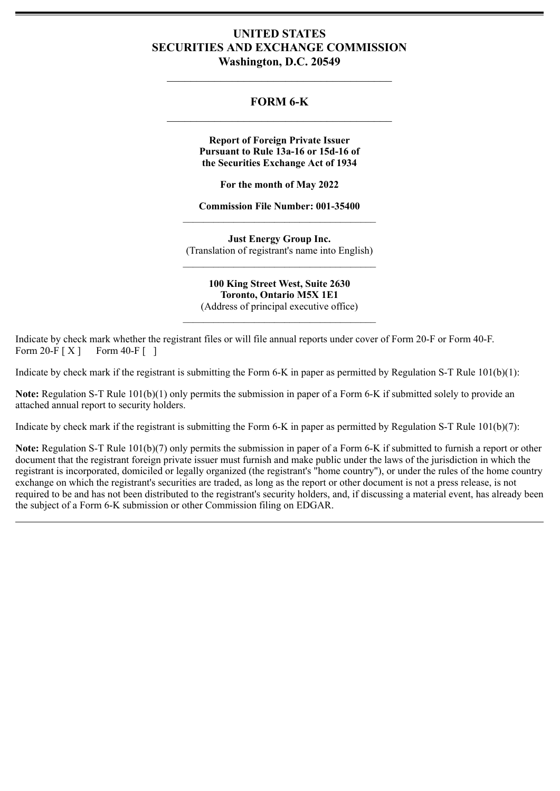# **UNITED STATES SECURITIES AND EXCHANGE COMMISSION Washington, D.C. 20549**

# **FORM 6-K**

**Report of Foreign Private Issuer Pursuant to Rule 13a-16 or 15d-16 of the Securities Exchange Act of 1934**

**For the month of May 2022**

**Commission File Number: 001-35400** \_\_\_\_\_\_\_\_\_\_\_\_\_\_\_\_\_\_\_\_\_\_\_\_\_\_\_\_\_\_\_\_\_\_\_\_\_\_

**Just Energy Group Inc.** (Translation of registrant's name into English) \_\_\_\_\_\_\_\_\_\_\_\_\_\_\_\_\_\_\_\_\_\_\_\_\_\_\_\_\_\_\_\_\_\_\_\_\_\_

**100 King Street West, Suite 2630 Toronto, Ontario M5X 1E1** (Address of principal executive office)

 $\mathcal{L}_\text{max}$  and  $\mathcal{L}_\text{max}$  and  $\mathcal{L}_\text{max}$  and  $\mathcal{L}_\text{max}$ 

Indicate by check mark whether the registrant files or will file annual reports under cover of Form 20-F or Form 40-F. Form 20-F  $[X]$  Form 40-F  $\lceil$  1

Indicate by check mark if the registrant is submitting the Form 6-K in paper as permitted by Regulation S-T Rule 101(b)(1):

**Note:** Regulation S-T Rule 101(b)(1) only permits the submission in paper of a Form 6-K if submitted solely to provide an attached annual report to security holders.

Indicate by check mark if the registrant is submitting the Form 6-K in paper as permitted by Regulation S-T Rule 101(b)(7):

**Note:** Regulation S-T Rule 101(b)(7) only permits the submission in paper of a Form 6-K if submitted to furnish a report or other document that the registrant foreign private issuer must furnish and make public under the laws of the jurisdiction in which the registrant is incorporated, domiciled or legally organized (the registrant's "home country"), or under the rules of the home country exchange on which the registrant's securities are traded, as long as the report or other document is not a press release, is not required to be and has not been distributed to the registrant's security holders, and, if discussing a material event, has already been the subject of a Form 6-K submission or other Commission filing on EDGAR.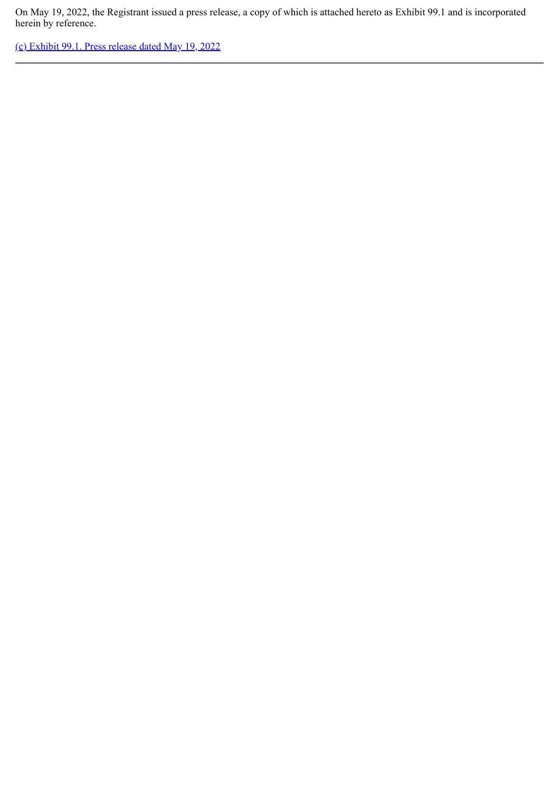On May 19, 2022, the Registrant issued a press release, a copy of which is attached hereto as Exhibit 99.1 and is incorporated herein by reference.

[\(c\) Exhibit 99.1. Press release dated May 19, 2022](#page-3-0)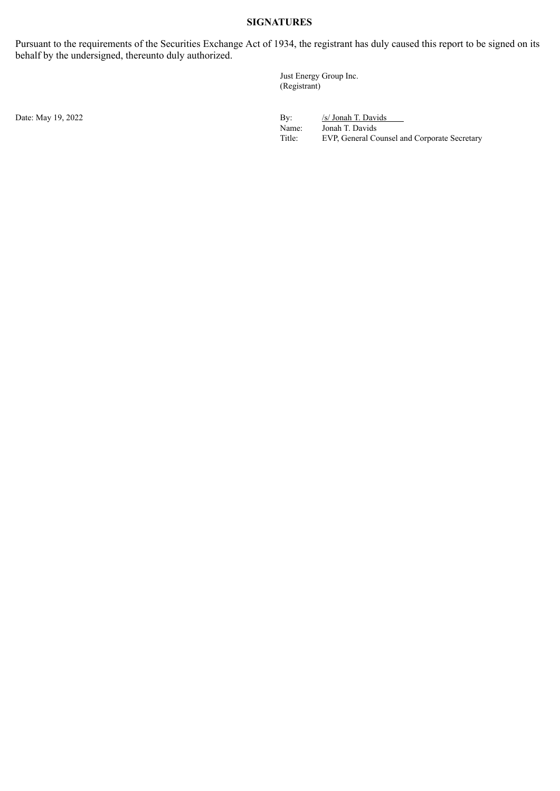## **SIGNATURES**

Pursuant to the requirements of the Securities Exchange Act of 1934, the registrant has duly caused this report to be signed on its behalf by the undersigned, thereunto duly authorized.

> Just Energy Group Inc. (Registrant)

Date: May 19, 2022 By: /s/ Jonah T. Davids<br>Name: /s/ Jonah T. Davids<br>Name: Jonah T. Davids Name: Jonah T. Davids<br>Title: EVP, General Co EVP, General Counsel and Corporate Secretary